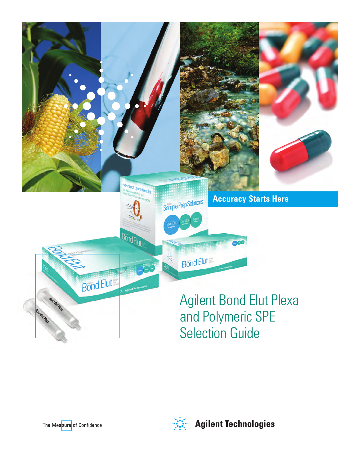

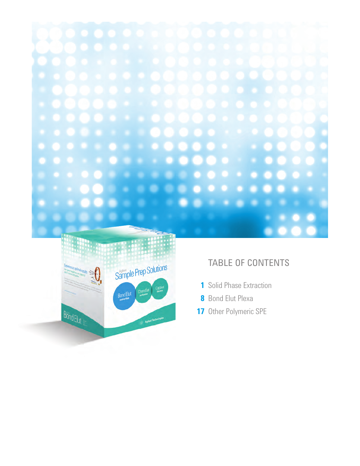



# TABLE OF CONTENTS

- Solid Phase Extraction
- Bond Elut Plexa
- Other Polymeric SPE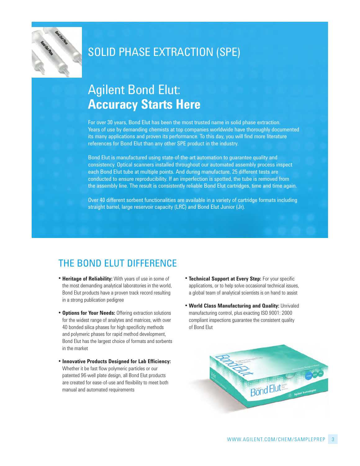

# SOLID PHASE EXTRACTION (SPE)

# Agilent Bond Elut: **Accuracy Starts Here**

For over 30 years, Bond Elut has been the most trusted name in solid phase extraction. Years of use by demanding chemists at top companies worldwide have thoroughly documented its many applications and proven its performance. To this day, you will find more literature references for Bond Elut than any other SPE product in the industry.

Bond Elut is manufactured using state-of-the-art automation to guarantee quality and consistency. Optical scanners installed throughout our automated assembly process inspect each Bond Elut tube at multiple points. And during manufacture, 25 different tests are conducted to ensure reproducibility. If an imperfection is spotted, the tube is removed from the assembly line. The result is consistently reliable Bond Elut cartridges, time and time again.

Over 40 different sorbent functionalities are available in a variety of cartridge formats including straight barrel, large reservoir capacity (LRC) and Bond Elut Junior (Jr).

# THE BOND ELUT DIFFERENCE

- **Heritage of Reliability:** With years of use in some of the most demanding analytical laboratories in the world, Bond Elut products have a proven track record resulting in a strong publication pedigree
- **Options for Your Needs:** Offering extraction solutions for the widest range of analytes and matrices, with over 40 bonded silica phases for high specificity methods and polymeric phases for rapid method development, Bond Elut has the largest choice of formats and sorbents in the market
- **Innovative Products Designed for Lab Efficiency:** Whether it be fast flow polymeric particles or our patented 96-well plate design, all Bond Elut products are created for ease-of-use and flexibility to meet both manual and automated requirements
- **Technical Support at Every Step:** For your specific applications, or to help solve occasional technical issues, a global team of analytical scientists is on hand to assist
- **World Class Manufacturing and Quality:** Unrivaled manufacturing control, plus exacting ISO 9001: 2000 compliant inspections guarantee the consistent quality of Bond Elut

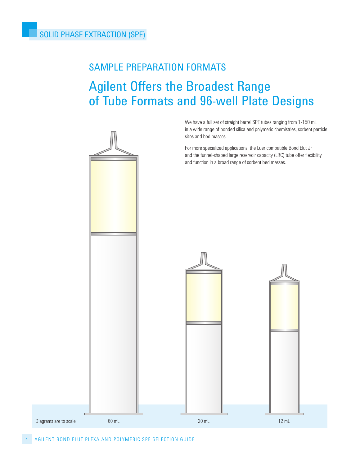# SAMPLE PREPARATION FORMATS

# Agilent Offers the Broadest Range of Tube Formats and 96-well Plate Designs

We have a full set of straight barrel SPE tubes ranging from 1-150 ml in a wide range of bonded silica and polymeric chemistries, sorbent particle sizes and bed masses.

For more specialized applications, the luer compatible Bond Elut Jr and the funnel-shaped large reservoir capacity (LRC) tube offer flexibility and function in a broad range of sorbent bed masses.

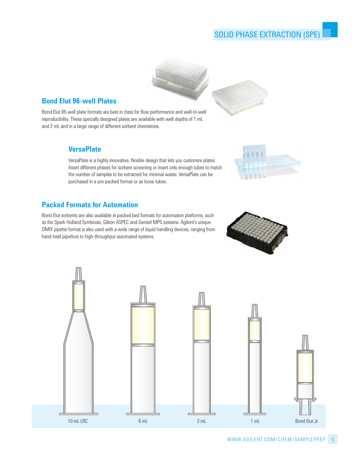## SOLID PHASE EXTRACTION (SPE)



## **Bond Elut 96-well Plates**

Bond Elut 96-well plate formats are best in class for flow performance and well-to-well reproducibility. These specially designed plates are available with well depths of 1 mL and 2 ml and in a large range of different sorbent chemistries.

## **VersaPlate**

VersaPlate is a highly innovative, flexible design that lets you customize plates. Insert different phases for sorbent screening or insert only enough tubes to match the number of samples to be extracted for minimal waste. VersaPlate can be purchased in a pre-packed format or as loose tubes.

## **Packed Formats for Automation**

Bond Elut sorbents are also available in packed bed formats for automation platforms, such as the Spark holland Symbiosis, Gilson ASPEc and Gerstel mPS systems. Agilent's unique OmIx pipette format is also used with a wide range of liquid handling devices, ranging from hand-held pipettors to high-throughput automated systems.



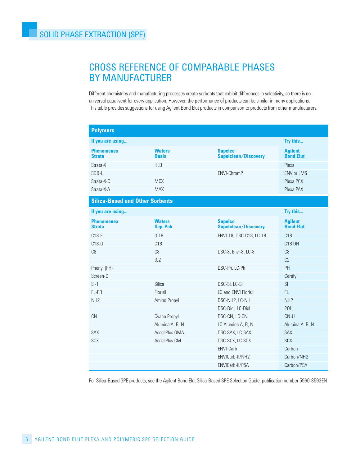# CROSS REFERENCE OF COMPARABLE PHASES BY MANUFACTURER

Different chemistries and manufacturing processes create sorbents that exhibit differences in selectivity, so there is no universal equalivent for every application. however, the performance of products can be similar in many applications. this table provides suggestions for using Agilent Bond Elut products in comparison to products from other manufacturers.

| <b>Polymers</b>                        |                                 |                                               |                                    |
|----------------------------------------|---------------------------------|-----------------------------------------------|------------------------------------|
| If you are using                       |                                 |                                               | Try this                           |
| <b>Phenomenex</b><br><b>Strata</b>     | <b>Waters</b><br><b>Oasis</b>   | <b>Supelco</b><br><b>Supelclean/Discovery</b> | <b>Agilent</b><br><b>Bond Elut</b> |
| Strata-X                               | <b>HLB</b>                      |                                               | Plexa                              |
| SDB-L                                  |                                 | ENVI-ChromP                                   | <b>ENV or LMS</b>                  |
| Strata-X-C                             | <b>MCX</b>                      |                                               | Plexa PCX                          |
| Strata-X-A                             | <b>MAX</b>                      |                                               | Plexa PAX                          |
| <b>Silica-Based and Other Sorbents</b> |                                 |                                               |                                    |
| If you are using                       |                                 |                                               | Try this                           |
| <b>Phenomenex</b><br><b>Strata</b>     | <b>Waters</b><br><b>Sep-Pak</b> | <b>Supelco</b><br><b>Supelclean/Discovery</b> | <b>Agilent</b><br><b>Bond Elut</b> |
| C18-E                                  | tC18                            | ENVI-18, DSC-C18, LC-18                       | C18                                |
| $C18-U$                                | C18                             |                                               | C18 OH                             |
| C8                                     | C8                              | DSC-8, Envi-8, LC-8                           | C8                                 |
|                                        | tC2                             |                                               | C <sub>2</sub>                     |
| Phenyl (PH)                            |                                 | DSC-Ph, LC-Ph                                 | PH                                 |
| Screen-C                               |                                 |                                               | Certify                            |
| $Si-1$                                 | Silica                          | DSC-Si, LC-SI                                 | SI                                 |
| FL-PR                                  | Florisil                        | LC and ENVI Florisil                          | FL.                                |
| NH <sub>2</sub>                        | Amino Propyl                    | DSC-NH2, LC-NH                                | NH <sub>2</sub>                    |
|                                        |                                 | DSC-Diol, LC-Diol                             | 20H                                |
| <b>CN</b>                              | Cyano Propyl                    | DSC-CN, LC-CN                                 | $CN-U$                             |
|                                        | Alumina A, B, N                 | LC-Alumina A, B, N                            | Alumina A, B, N                    |
| <b>SAX</b>                             | AccellPlus OMA                  | DSC-SAX, LC-SAX                               | <b>SAX</b>                         |
| <b>SCX</b>                             | <b>AccellPlus CM</b>            | DSC-SCX, LC-SCX                               | <b>SCX</b>                         |
|                                        |                                 | <b>ENVI-Carb</b>                              | Carbon                             |
|                                        |                                 | ENVICarb-II/NH2                               | Carbon/NH2                         |
|                                        |                                 | ENVICarb-II/PSA                               | Carbon/PSA                         |

For Silica-Based SPE products, see the Agilent Bond Elut Silica-Based SPE Selection Guide, publication number 5990-859En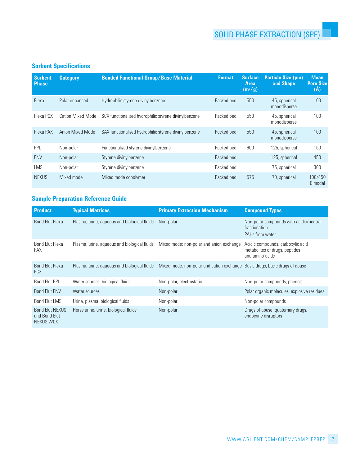## **Sorbent Specifications**

| <b>Sorbent</b><br><b>Phase</b> | <b>Category</b>          | <b>Bonded Functional Group/Base Material</b>          | <b>Format</b> | <b>Surface</b><br>Area<br>(m <sup>2</sup> /g) | Particle Size (µm)<br>and Shape | <b>Mean</b><br><b>Pore Size</b><br>(Å) |
|--------------------------------|--------------------------|-------------------------------------------------------|---------------|-----------------------------------------------|---------------------------------|----------------------------------------|
| Plexa                          | Polar enhanced           | Hydrophilic styrene divinylbenzene                    | Packed bed    | 550                                           | 45, spherical<br>monodisperse   | 100                                    |
| Plexa PCX                      | <b>Cation Mixed Mode</b> | SCX functionalized hydrophilic styrene divinylbenzene | Packed bed    | 550                                           | 45, spherical<br>monodisperse   | 100                                    |
| Plexa PAX                      | Anion Mixed Mode         | SAX functionalized hydrophilic styrene divinylbenzene | Packed bed    | 550                                           | 45, spherical<br>monodisperse   | 100                                    |
| <b>PPL</b>                     | Non-polar                | Functionalized styrene divinylbenzene                 | Packed bed    | 600                                           | 125, spherical                  | 150                                    |
| <b>ENV</b>                     | Non-polar                | Styrene divinylbenzene                                | Packed bed    |                                               | 125, spherical                  | 450                                    |
| <b>LMS</b>                     | Non-polar                | Styrene divinylbenzene                                | Packed bed    |                                               | 75, spherical                   | 300                                    |
| <b>NEXUS</b>                   | Mixed mode               | Mixed mode copolymer                                  | Packed bed    | 575                                           | 70, spherical                   | 100/450<br>Bimodal                     |

## **Sample Preparation Reference Guide**

| <b>Product</b>                                       | <b>Typical Matrices</b>                      | <b>Primary Extraction Mechanism</b>                                         | <b>Compound Types</b>                                                                  |
|------------------------------------------------------|----------------------------------------------|-----------------------------------------------------------------------------|----------------------------------------------------------------------------------------|
| <b>Bond Elut Plexa</b>                               | Plasma, urine, aqueous and biological fluids | Non-polar                                                                   | Non-polar compounds with acidic/neutral<br>fractionation<br>PAHs from water            |
| <b>Bond Elut Plexa</b><br><b>PAX</b>                 | Plasma, urine, aqueous and biological fluids | Mixed mode: non-polar and anion exchange                                    | Acidic compounds, carboxylic acid<br>metabolites of drugs, peptides<br>and amino acids |
| <b>Bond Elut Plexa</b><br><b>PCX</b>                 | Plasma, urine, aqueous and biological fluids | Mixed mode: non-polar and cation exchange Basic drugs, basic drugs of abuse |                                                                                        |
| <b>Bond Elut PPL</b>                                 | Water sources, biological fluids             | Non-polar, electrostatic                                                    | Non-polar compounds, phenols                                                           |
| <b>Bond Elut ENV</b>                                 | Water sources                                | Non-polar                                                                   | Polar organic molecules, explosive residues                                            |
| <b>Bond Elut LMS</b>                                 | Urine, plasma, biological fluids             | Non-polar                                                                   | Non-polar compounds                                                                    |
| <b>Bond Elut NEXUS</b><br>and Bond Elut<br>NEXUS WCX | Horse urine, urine, biological fluids        | Non-polar                                                                   | Drugs of abuse, quaternary drugs,<br>endocrine disruptors                              |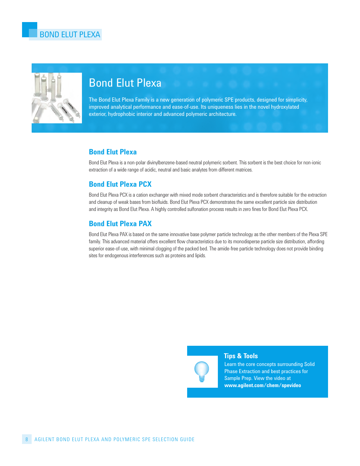

# Bond Elut Plexa

The Bond Elut Plexa Family is a new generation of polymeric SPE products, designed for simplicity, improved analytical performance and ease-of-use. Its uniqueness lies in the novel hydroxylated exterior, hydrophobic interior and advanced polymeric architecture.

## **Bond Elut Plexa**

Bond Elut Plexa is a non-polar divinylbenzene-based neutral polymeric sorbent. this sorbent is the best choice for non-ionic extraction of a wide range of acidic, neutral and basic analytes from different matrices.

## **Bond Elut Plexa PCX**

Bond Elut Plexa Pcx is a cation exchanger with mixed mode sorbent characteristics and is therefore suitable for the extraction and cleanup of weak bases from biofluids. Bond Elut Plexa Pcx demonstrates the same excellent particle size distribution and integrity as Bond Elut Plexa. A highly controlled sulfonation process results in zero fines for Bond Elut Plexa Pcx.

## **Bond Elut Plexa PAX**

Bond Elut Plexa PAx is based on the same innovative base polymer particle technology as the other members of the Plexa SPE family. This advanced material offers excellent flow characteristics due to its monodisperse particle size distribution, affording superior ease-of-use, with minimal clogging of the packed bed. The amide-free particle technology does not provide binding sites for endogenous interferences such as proteins and lipids.



#### **Tips & Tools**

Learn the core concepts surrounding Solid Phase Extraction and best practices for Sample Prep. View the video at **www.agilent.com/chem/spevideo**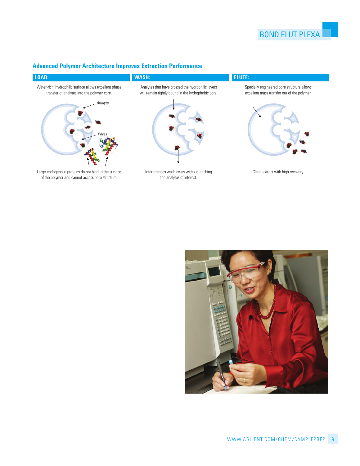## **Advanced Polymer Architecture Improves Extraction Performance**



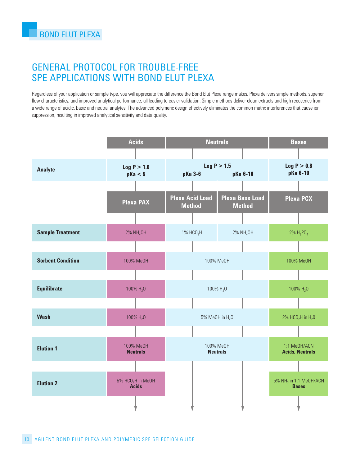## GENERAL PROTOCOL FOR TROUBLE-FREE SPE APPLICATIONS WITH BOND ELUT PLEXA

Regardless of your application or sample type, you will appreciate the difference the Bond Elut Plexa range makes. Plexa delivers simple methods, superior flow characteristics, and improved analytical performance, all leading to easier validation. Simple methods deliver clean extracts and high recoveries from a wide range of acidic, basic and neutral analytes. The advanced polymeric design effectively eliminates the common matrix interferences that cause ion suppression, resulting in improved analytical sensitivity and data quality.

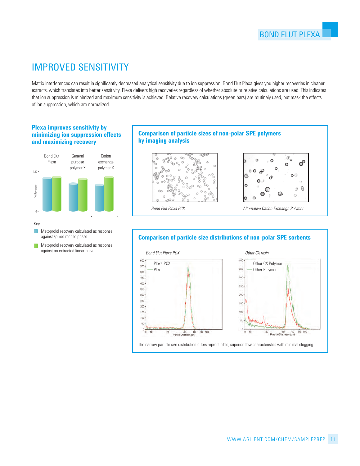# IMPROVED SENSITIVITY

matrix interferences can result in significantly decreased analytical sensitivity due to ion suppression. Bond Elut Plexa gives you higher recoveries in cleaner extracts, which translates into better sensitivity. Plexa delivers high recoveries regardless of whether absolute or relative calculations are used. this indicates that ion suppression is minimized and maximum sensitivity is achieved. Relative recovery calculations (green bars) are routinely used, but mask the effects of ion suppression, which are normalized.

#### **Plexa improves sensitivity by minimizing ion suppression effects and maximizing recovery**



Key

- $\blacksquare$  Metoprolol recovery calculated as response against spiked mobile phase
- $\blacksquare$  Metoprolol recovery calculated as response against an extracted linear curve

#### **Comparison of particle sizes of non-polar SPE polymers by imaging analysis**





*Bond Elut Plexa PCX Alternative Cation Exchange Polymer*

### **Comparison of particle size distributions of non-polar SPE sorbents**



the narrow particle size distribution offers reproducible, superior flow characteristics with minimal clogging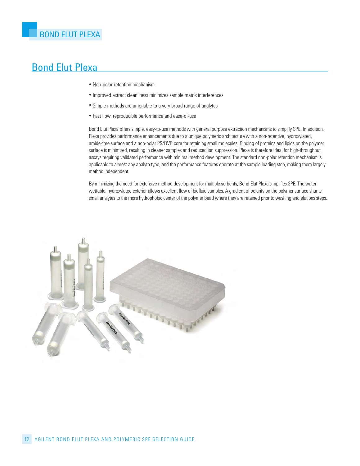## Bond Elut Plexa

- Non-polar retention mechanism
- Improved extract cleanliness minimizes sample matrix interferences
- Simple methods are amenable to a very broad range of analytes
- Fast flow, reproducible performance and ease-of-use

Bond Elut Plexa offers simple, easy-to-use methods with general purpose extraction mechanisms to simplify SPE. In addition, Plexa provides performance enhancements due to a unique polymeric architecture with a non-retentive, hydroxylated, amide-free surface and a non-polar PS/DVB core for retaining small molecules. Binding of proteins and lipids on the polymer surface is minimized, resulting in cleaner samples and reduced ion suppression. Plexa is therefore ideal for high-throughput assays requiring validated performance with minimal method development. the standard non-polar retention mechanism is applicable to almost any analyte type, and the performance features operate at the sample loading step, making them largely method independent.

By minimizing the need for extensive method development for multiple sorbents, Bond Elut Plexa simplifies SPE. the water wettable, hydroxylated exterior allows excellent flow of biofluid samples. A gradient of polarity on the polymer surface shunts small analytes to the more hydrophobic center of the polymer bead where they are retained prior to washing and elutions steps.

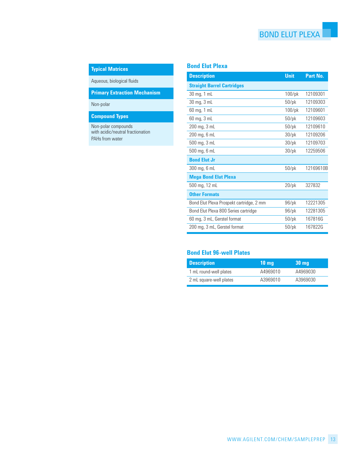## BOND ELUT PLEXA

## **Typical Matrices**

Aqueous, biological fluids

**Primary Extraction Mechanism**

Non-polar

#### **Compound Types**

Non-polar compounds with acidic/neutral fractionation PAHs from water

#### **Bond Elut Plexa**

| <b>Description</b>                       | <b>Unit</b> | Part No.  |
|------------------------------------------|-------------|-----------|
| <b>Straight Barrel Cartridges</b>        |             |           |
| 30 mg, 1 mL                              | $100$ /pk   | 12109301  |
| 30 mg, 3 mL                              | $50$ /p $k$ | 12109303  |
| 60 mg, 1 mL                              | $100$ /pk   | 12109601  |
| 60 mg, 3 mL                              | $50$ /p $k$ | 12109603  |
| 200 mg, 3 mL                             | $50$ /pk    | 12109610  |
| $200$ mg, $6$ mL                         | $30$ /p $k$ | 12109206  |
| 500 mg, 3 mL                             | $30$ /pk    | 12109703  |
| 500 mg, 6 mL                             | $30$ /pk    | 12259506  |
| <b>Bond Elut Jr</b>                      |             |           |
| 300 mg, 6 mL                             | $50$ /p $k$ | 12169610B |
| <b>Mega Bond Elut Plexa</b>              |             |           |
| 500 mg, 12 mL                            | $20$ /pk    | 327832    |
| <b>Other Formats</b>                     |             |           |
| Bond Elut Plexa Prospekt cartridge, 2 mm | $96$ /pk    | 12221305  |
| Bond Elut Plexa 800 Series cartridge     | $96$ /pk    | 12281305  |
| 60 mg, 3 mL, Gerstel format              | $50$ /p $k$ | 167816G   |
| 200 mg, 3 mL, Gerstel format             | $50$ /p $k$ | 167822G   |

| <b>Description</b>      | $10 \text{ mg}$ | 30 <sub>mg</sub> |
|-------------------------|-----------------|------------------|
| 1 mL round-well plates  | A4969010        | A4969030         |
| 2 mL square-well plates | A3969010        | A3969030         |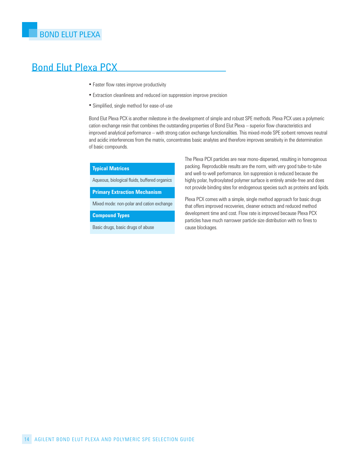## Bond Elut Plexa PCX

- Faster flow rates improve productivity
- Extraction cleanliness and reduced ion suppression improve precision
- Simplified, single method for ease-of-use

Bond Elut Plexa Pcx is another milestone in the development of simple and robust SPE methods. Plexa Pcx uses a polymeric cation exchange resin that combines the outstanding properties of Bond Elut Plexa – superior flow characteristics and improved analytical performance – with strong cation exchange functionalities. this mixed-mode SPE sorbent removes neutral and acidic interferences from the matrix, concentrates basic analytes and therefore improves sensitivity in the determination of basic compounds.

#### **Typical Matrices**

Aqueous, biological fluids, buffered organics

**Primary Extraction Mechanism**

Mixed mode: non-polar and cation exchange

**Compound Types**

Basic drugs, basic drugs of abuse

the Plexa Pcx particles are near mono-dispersed, resulting in homogenous packing. Reproducible results are the norm, with very good tube-to-tube and well-to-well performance. Ion suppression is reduced because the highly polar, hydroxylated polymer surface is entirely amide-free and does not provide binding sites for endogenous species such as proteins and lipids.

Plexa PCX comes with a simple, single method approach for basic drugs that offers improved recoveries, cleaner extracts and reduced method development time and cost. Flow rate is improved because Plexa Pcx particles have much narrower particle size distribution with no fines to cause blockages.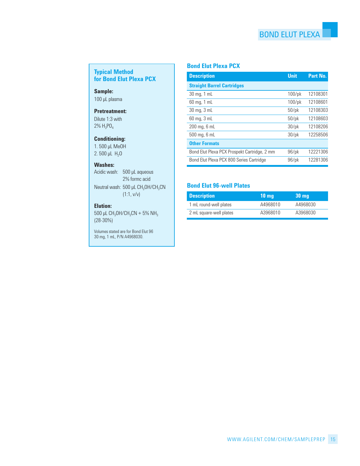### **Typical Method for Bond Elut Plexa PCX**

**Sample:** 100 µl plasma

#### **Pretreatment:**

Dilute 1:3 with  $2\%$  H<sub>3</sub>PO<sub>4</sub>

#### **Conditioning:**

1. 500 µl meOh 2. 500 µL  $H_2$ O

#### **Washes:**

Acidic wash: 500 µl aqueous 2% formc acid Neutral wash:  $500 \mu L CH_3OH/CH_3CN$ (1:1, v/v)

#### **Elution:**

 $500$  µL CH<sub>3</sub>OH/CH<sub>3</sub>CN + 5% NH<sub>3</sub>  $(28-30%)$ 

Volumes stated are for Bond Elut 96 30 mg, 1 mL, P/N A4968030.

### **Bond Elut Plexa PCX**

| <b>Description</b>                           | <b>Unit</b> | Part No. |
|----------------------------------------------|-------------|----------|
| <b>Straight Barrel Cartridges</b>            |             |          |
| 30 mg, 1 mL                                  | $100$ /pk   | 12108301 |
| 60 mg, 1 mL                                  | $100$ /pk   | 12108601 |
| 30 mg, 3 mL                                  | $50$ /pk    | 12108303 |
| 60 mg, 3 mL                                  | $50$ /p $k$ | 12108603 |
| $200$ mg, $6$ mL                             | $30$ /pk    | 12108206 |
| 500 mg, 6 mL                                 | $30$ /pk    | 12258506 |
| <b>Other Formats</b>                         |             |          |
| Bond Elut Plexa PCX Prospekt Cartridge, 2 mm | $96$ /pk    | 12221306 |
| Bond Elut Plexa PCX 800 Series Cartridge     | $96$ /pk    | 12281306 |

| <b>Description</b>      | $10 \text{ mg}$ | <b>30 mg</b> |
|-------------------------|-----------------|--------------|
| 1 mL round-well plates  | A4968010        | A4968030     |
| 2 mL square-well plates | A3968010        | A3968030     |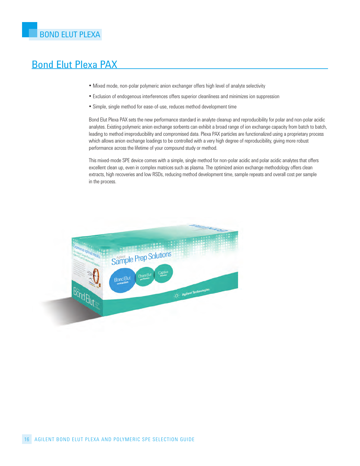# Bond Elut Plexa PAX

- mixed mode, non-polar polymeric anion exchanger offers high level of analyte selectivity
- Exclusion of endogenous interferences offers superior cleanliness and minimizes ion suppression
- Simple, single method for ease-of-use, reduces method development time

Bond Elut Plexa PAx sets the new performance standard in analyte cleanup and reproducibility for polar and non-polar acidic analytes. Existing polymeric anion exchange sorbents can exhibit a broad range of ion exchange capacity from batch to batch, leading to method irreproducibility and compromised data. Plexa PAx particles are functionalized using a proprietary process which allows anion exchange loadings to be controlled with a very high degree of reproducibility, giving more robust performance across the lifetime of your compound study or method.

this mixed-mode SPE device comes with a simple, single method for non-polar acidic and polar acidic analytes that offers excellent clean up, even in complex matrices such as plasma. The optimized anion exchange methodology offers clean extracts, high recoveries and low RSDs, reducing method development time, sample repeats and overall cost per sample in the process.

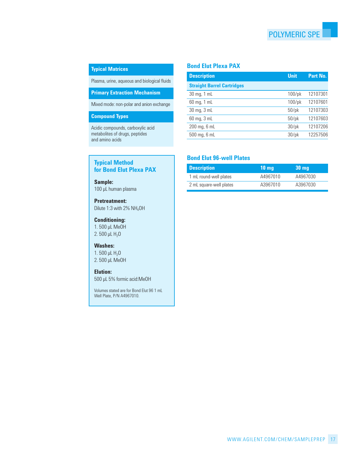#### **Typical Matrices**

Plasma, urine, aqueous and biological fluids

**Primary Extraction Mechanism**

Mixed mode: non-polar and anion exchange

#### **Compound Types**

Acidic compounds, carboxylic acid metabolites of drugs, peptides and amino acids

#### **Typical Method for Bond Elut Plexa PAX**

#### 100 µl human plasma **Sample:**

#### **Pretreatment:**

Dilute 1:3 with 2%  $NH_4OH$ 

#### **Conditioning:**

1. 500 µl meOh 2. 500 µL  $H_2O$ 

#### **Washes:**

1.500  $\mu$ L H<sub>2</sub>O 2. 500 µl meOh

#### **Elution:**

500 µL 5% formic acid:MeOH

Volumes stated are for Bond Elut 96 1 ml Well Plate, P/N A4967010.

#### **Bond Elut Plexa PAX**

| <b>Description</b>                | <b>Unit</b> | Part No. |
|-----------------------------------|-------------|----------|
| <b>Straight Barrel Cartridges</b> |             |          |
| 30 mg, 1 mL                       | $100$ /pk   | 12107301 |
| 60 mg, 1 mL                       | $100$ /pk   | 12107601 |
| 30 mg, 3 mL                       | $50$ /p $k$ | 12107303 |
| $60$ mg, $3$ mL                   | $50$ /p $k$ | 12107603 |
| $200$ mg, $6$ mL                  | $30$ /pk    | 12107206 |
| 500 mg, 6 mL                      | $30$ /p $k$ | 12257506 |
|                                   |             |          |

| <b>Description</b>      | 10 ma    | <b>30 mg</b> |
|-------------------------|----------|--------------|
| 1 mL round-well plates  | A4967010 | A4967030     |
| 2 mL square-well plates | A3967010 | A3967030     |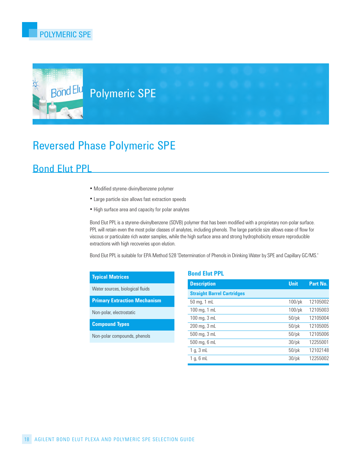

# Bond Elu Polymeric SPE

# Reversed Phase Polymeric SPE

## Bond Elut PPL

- modified styrene-divinylbenzene polymer
- large particle size allows fast extraction speeds
- high surface area and capacity for polar analytes

Bond Elut PPl is a styrene-divinylbenzene (SDVB) polymer that has been modified with a proprietary non-polar surface. PPL will retain even the most polar classes of analytes, including phenols. The large particle size allows ease of flow for viscous or particulate rich water samples, while the high surface area and strong hydrophobicity ensure reproducible extractions with high recoveries upon elution.

Bond Elut PPl is suitable for EPA method 528 'Determination of Phenols in Drinking Water by SPE and capillary Gc/mS.'

| <b>Typical Matrices</b>             |                                |
|-------------------------------------|--------------------------------|
| Water sources, biological fluids    | S                              |
| <b>Primary Extraction Mechanism</b> | 5                              |
| Non-polar, electrostatic            | 1                              |
| <b>Compound Types</b>               | $\mathbf{1}$<br>$\overline{2}$ |
| Non-polar compounds, phenols        | 5                              |
|                                     | 5                              |

#### **Bond Elut PPL**

| <b>Description</b>                | <b>Unit</b> | Part No. |
|-----------------------------------|-------------|----------|
| <b>Straight Barrel Cartridges</b> |             |          |
| $50 \,\mathrm{mg}$ , 1 mL         | $100$ /pk   | 12105002 |
| 100 mg, $1$ mL                    | $100$ /pk   | 12105003 |
| 100 mg, $3$ mL                    | $50$ /pk    | 12105004 |
| 200 mg, 3 mL                      | $50$ /pk    | 12105005 |
| 500 mg, 3 mL                      | $50$ /pk    | 12105006 |
| 500 mg, 6 mL                      | $30$ /pk    | 12255001 |
| $1 g$ , $3 mL$                    | $50$ /pk    | 12102148 |
| $1 g$ , 6 mL                      | $30$ /pk    | 12255002 |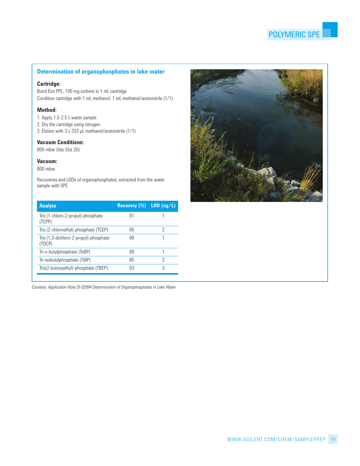#### **Determination of organophosphates in lake water**

#### **Cartridge:**

Bond Elut PPl, 100 mg sorbent in 1 ml cartridge condition cartridge with 1 ml methanol, 1 ml methanol/acetonitrile (1/1)

#### **Method:**

- 1. Apply 1.5-2.5 l water sample
- 2. Dry the cartridge using nitrogen
- 3. Elution with  $3 \times 333$  µL methanol/acetonitrile (1/1)

#### **Vacuum Conditions:**

800 mbar (Vac Elut 20)

#### **Vacuum:**

800 mbar

Recoveries and LODs of organophosphates; extracted from the water sample with SPE

| <b>Analyte</b>                                   | Recovery $(\%)$ LOD $(ng/L)$ |   |
|--------------------------------------------------|------------------------------|---|
| Tris (1-chloro-2-propyl)-phosphate<br>(TCPP)     | .91                          |   |
| Tris (2-chloroethyl)-phosphate (TCEP)            | 95                           | 2 |
| Tris (1,3-dichloro-2-propyl)-phosphate<br>(TDCP) | 99                           |   |
| Tri-n-butylphosphate (TnBP)                      | 89                           |   |
| Tri-isobutylphosphate (TiBP)                     | 85                           | 2 |
| Tris(2-butoxyethyl)-phosphate (TBEP)             | 93                           | 3 |

*Courtesy: Application Note SI-02094 Determination of Organophosphates in Lake Water*

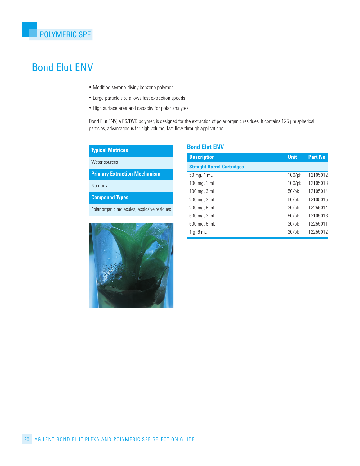# Bond Elut ENV

- modified styrene-divinylbenzene polymer
- large particle size allows fast extraction speeds
- high surface area and capacity for polar analytes

Bond Elut ENV, a PS/DVB polymer, is designed for the extraction of polar organic residues. It contains 125 µm spherical particles, advantageous for high volume, fast flow-through applications.

#### **Typical Matrices**

Water sources

**Primary Extraction Mechanism**

Non-polar

**Compound Types**

Polar organic molecules, explosive residues



#### **Bond Elut ENV**

| <b>Description</b>                | <b>Unit</b> | Part No. |
|-----------------------------------|-------------|----------|
| <b>Straight Barrel Cartridges</b> |             |          |
| $50$ mg, 1 mL                     | $100$ /pk   | 12105012 |
| 100 mg, $1$ mL                    | $100$ /pk   | 12105013 |
| 100 mg, $3$ mL                    | $50$ /pk    | 12105014 |
| $200$ mg, $3$ mL                  | $50$ /pk    | 12105015 |
| $200$ mg, $6$ mL                  | $30$ /pk    | 12255014 |
| 500 mg, 3 mL                      | $50$ /pk    | 12105016 |
| 500 mg, 6 mL                      | $30$ /pk    | 12255011 |
| 1 g, 6 mL                         | $30$ /pk    | 12255012 |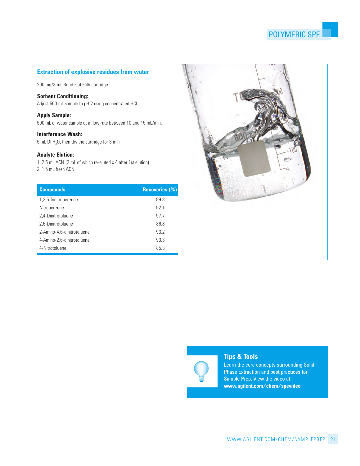## **Extraction of explosive residues from water**

200 mg/3 mL Bond Elut ENV cartridge

#### **Sorbent Conditioning:**

Adjust 500 mL sample to pH 2 using concentrated HCl

#### **Apply Sample:**

500 ml of water sample at a flow rate between 10 and 15 ml/min.

#### **Interference Wash:**

 $5$  mL DI  $H<sub>2</sub>O$ , then dry the cartridge for  $3$  min

#### **Analyte Elution:**

1. 2.5 mL ACN (2 mL of which re-eluted x 4 after 1st elution) 2. 1.5 mL fresh ACN

| <b>Compounds</b>           | <b>Recoveries (%)</b> |
|----------------------------|-----------------------|
| 1,3,5-Trinitrobenzene      | 99.8                  |
| Nitrobenzene               | 921                   |
| 2,4-Dinitrotoluene         | 977                   |
| 2.6-Dinitrotoluene         | 86.8                  |
| 2-Amino-4,6-dinitrotoluene | 93.2                  |
| 4-Amino-2,6-dinitrotoluene | 93.3                  |
| 4-Nitrotoluene             | 85.3                  |





#### **Tips & Tools**

Learn the core concepts surrounding Solid Phase Extraction and best practices for Sample Prep. View the video at **www.agilent.com/chem/spevideo**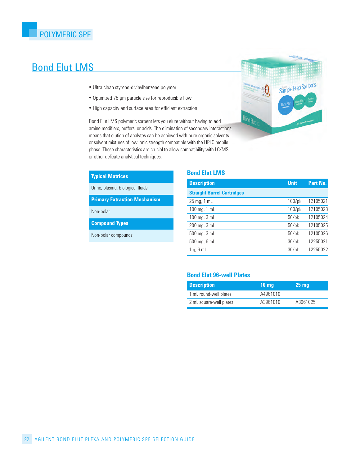## Bond Elut LMS

- Ultra clean styrene-divinylbenzene polymer
- Optimized 75 µm particle size for reproducible flow
- high capacity and surface area for efficient extraction

Bond Elut LMS polymeric sorbent lets you elute without having to add amine modifiers, buffers, or acids. The elimination of secondary interactions means that elution of analytes can be achieved with pure organic solvents or solvent mixtures of low ionic strength compatible with the hPlc mobile phase. These characteristics are crucial to allow compatibility with LC/MS or other delicate analytical techniques.

#### **Typical Matrices**

Urine, plasma, biological fluids

**Primary Extraction Mechanism**

Non-polar

**Compound Types**

Non-polar compounds

#### **Bond Elut LMS**

| <b>Description</b>                       | <b>Unit</b> | Part No. |
|------------------------------------------|-------------|----------|
| <b>Straight Barrel Cartridges</b>        |             |          |
| $25 \,\mathrm{mg}$ , 1 mL                | $100$ /pk   | 12105021 |
| $100 \,\mathrm{mg}$ , $1 \,\mathrm{m}$ L | $100$ /pk   | 12105023 |
| 100 mg, $3$ mL                           | $50$ /pk    | 12105024 |
| $200$ mg, $3$ mL                         | $50$ /pk    | 12105025 |
| $500$ mg, $3$ mL                         | $50$ /pk    | 12105026 |
| $500$ mg, $6$ mL                         | $30$ /pk    | 12255021 |
| $1 g$ , 6 mL                             | $30$ /pk    | 12255022 |

| <b>Description</b>      | $10 \text{ mq}$ | 25 <sub>mg</sub> |
|-------------------------|-----------------|------------------|
| 1 mL round-well plates  | A4961010        |                  |
| 2 mL square-well plates | A3961010        | A3961025         |

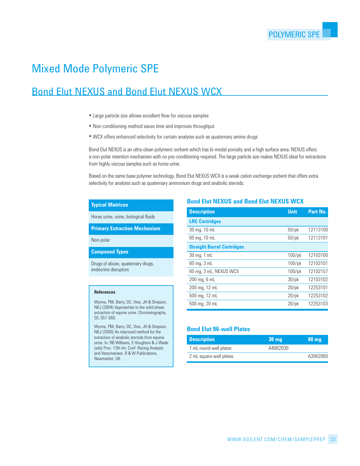# Mixed Mode Polymeric SPE

# Bond Elut NEXUS and Bond Elut NEXUS WCX

- large particle size allows excellent flow for viscous samples
- Non-conditioning method saves time and improves throughput
- Wcx offers enhanced selectivity for certain analytes such as quaternary amine drugs

Bond Elut NEXUS is an ultra-clean polymeric sorbent which has bi-modal porosity and a high surface area. NEXUS offers a non-polar retention mechanism with no pre-conditioning required. The large particle size makes NEXUS ideal for extractions from highly viscous samples such as horse urine.

Based on the same base polymer technology, Bond Elut nExUS Wcx is a weak cation exchange sorbent that offers extra selectivity for analytes such as quaternary ammonium drugs and anabolic steroids.

#### **Typical Matrices**

horse urine, urine, biological fluids

**Primary Extraction Mechanism**

Non-polar

**Compound Types**

Drugs of abuse, quaternary drugs, endocrine disruptors

#### **References**

Wynne, PM, Barry, DC, Vine, JH & Simpson, nKJ (2004) Approaches to the solid phase extraction of equine urine. Chromatography, 59, S51-S60.

Wynne, PM, Barry, DC, Vine, JH & Simpson, nKJ (2000) An improved method for the extraction of anabolic steroids from equine urine. In: RB Williams, E Houghton & J Wade (eds) Proc. 13th Int. Conf. Racing Analysts and Veterinarians. R & W Publications, Newmarket, UK.

#### **Bond Elut NEXUS and Bond Elut NEXUS WCX**

| <b>Description</b>                | <b>Unit</b> | Part No. |
|-----------------------------------|-------------|----------|
| <b>LRC Cartridges</b>             |             |          |
| 30 mg, 10 mL                      | $50$ /pk    | 12113100 |
| 60 mg, 10 mL                      | $50$ /pk    | 12113101 |
| <b>Straight Barrel Cartridges</b> |             |          |
| 30 mg, 1 mL                       | $100$ /pk   | 12103100 |
| 60 mg, 3 mL                       | $100$ /pk   | 12103101 |
| 60 mg, 3 mL, NEXUS WCX            | $100$ /pk   | 12102157 |
| $200 \,\mathrm{mg}$ , 6 mL        | $30$ /pk    | 12103102 |
| 200 mg, 12 mL                     | $20$ /pk    | 12253101 |
| 500 mg, 12 mL                     | $20$ /pk    | 12253102 |
| 500 mg, 20 mL                     | $20$ /pk    | 12253103 |

| <b>Description</b>      | <b>30 mg</b> | <b>60 mg</b> |
|-------------------------|--------------|--------------|
| 1 mL round-well plates  | A4962030     |              |
| 2 mL square-well plates |              | A3962060     |